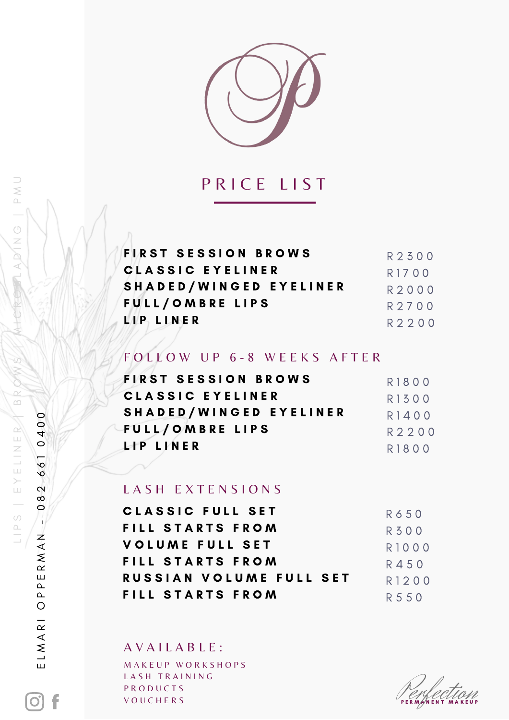

## PRICE LIST

| R2300 |
|-------|
| R1700 |
| R2000 |
| R2700 |
| R2200 |
|       |

FOLLOW UP 6-8 WEEKS AFTER

| FIRST SESSION BROWS     | R1800       |
|-------------------------|-------------|
| CLASSIC EYELINER        | R1300       |
| SHADED/WINGED EYELINER  | R1400       |
| FULL/OMBRE LIPS         | R2200       |
| LP LINER                | R1800       |
|                         |             |
| LASH EXTENSIONS         |             |
| CLASSIC FULL SET        | R650        |
| FILL STARTS FROM        | <b>R300</b> |
| <b>VOLUME FULL SET</b>  | R1000       |
| FILL STARTS FROM        | R450        |
| RUSSIAN VOLUME FULL SET | R1200       |
| FILL STARTS FROM        | R 5 5 0     |
|                         |             |

MAKEUP WORKSHOPS LASH TRAINING PRODUCTS VOUCHERS AVAILABLE:

LIPS |

ELMARI

f

 $\bigcirc$ 

E L M A R I O P P E R M A N - 0 8 2 6 6 1 0 4 0 0

PPERMAN

0400

082 661

LIPS | EYELINERZYSYZYKHCROSTADING | PMU

 $\frac{R}{D}$ 

EYELINE

DNO | PNN

PERMAN NENT MAKEUP ENfection